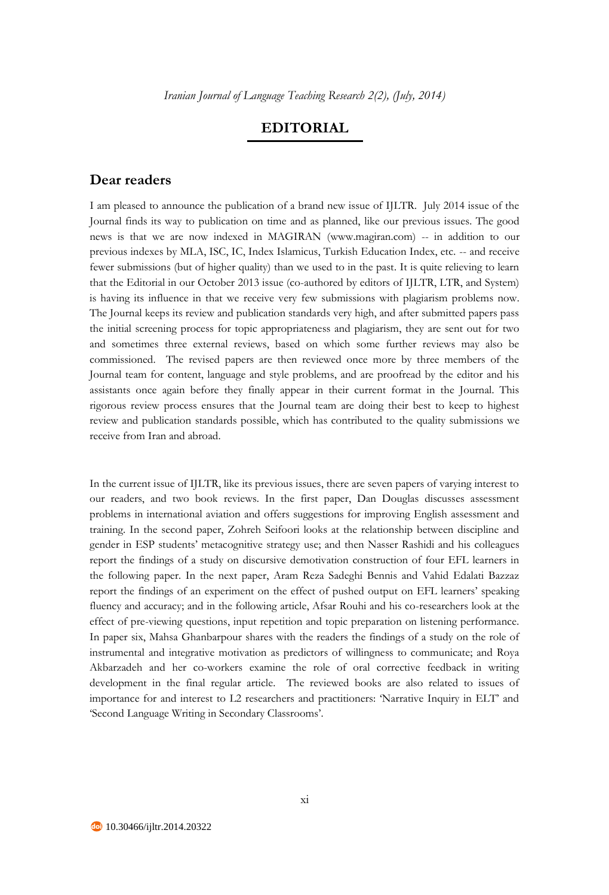## **EDITORIAL**

## **Dear readers**

I am pleased to announce the publication of a brand new issue of IJLTR. July 2014 issue of the Journal finds its way to publication on time and as planned, like our previous issues. The good news is that we are now indexed in MAGIRAN (www.magiran.com) -- in addition to our previous indexes by MLA, ISC, IC, Index Islamicus, Turkish Education Index, etc. -- and receive fewer submissions (but of higher quality) than we used to in the past. It is quite relieving to learn that the Editorial in our October 2013 issue (co-authored by editors of IJLTR, LTR, and System) is having its influence in that we receive very few submissions with plagiarism problems now. The Journal keeps its review and publication standards very high, and after submitted papers pass the initial screening process for topic appropriateness and plagiarism, they are sent out for two and sometimes three external reviews, based on which some further reviews may also be commissioned. The revised papers are then reviewed once more by three members of the Journal team for content, language and style problems, and are proofread by the editor and his assistants once again before they finally appear in their current format in the Journal. This rigorous review process ensures that the Journal team are doing their best to keep to highest review and publication standards possible, which has contributed to the quality submissions we receive from Iran and abroad.

In the current issue of IJLTR, like its previous issues, there are seven papers of varying interest to our readers, and two book reviews. In the first paper, Dan Douglas discusses assessment problems in international aviation and offers suggestions for improving English assessment and training. In the second paper, Zohreh Seifoori looks at the relationship between discipline and gender in ESP students' metacognitive strategy use; and then Nasser Rashidi and his colleagues report the findings of a study on discursive demotivation construction of four EFL learners in the following paper. In the next paper, Aram Reza Sadeghi Bennis and Vahid Edalati Bazzaz report the findings of an experiment on the effect of pushed output on EFL learners' speaking fluency and accuracy; and in the following article, Afsar Rouhi and his co-researchers look at the effect of pre-viewing questions, input repetition and topic preparation on listening performance. In paper six, Mahsa Ghanbarpour shares with the readers the findings of a study on the role of instrumental and integrative motivation as predictors of willingness to communicate; and Roya Akbarzadeh and her co-workers examine the role of oral corrective feedback in writing development in the final regular article. The reviewed books are also related to issues of importance for and interest to L2 researchers and practitioners: 'Narrative Inquiry in ELT' and 'Second Language Writing in Secondary Classrooms'.